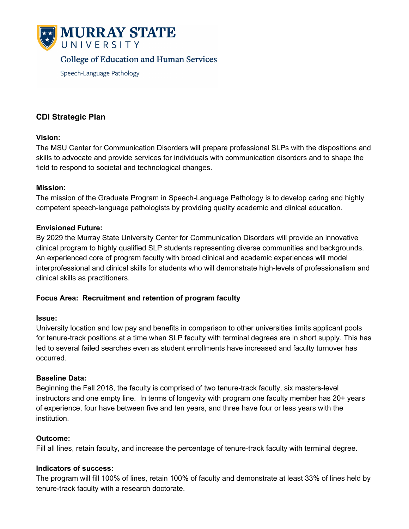

# **College of Education and Human Services**

Speech-Language Pathology

# **CDI Strategic Plan**

#### **Vision:**

The MSU Center for Communication Disorders will prepare professional SLPs with the dispositions and skills to advocate and provide services for individuals with communication disorders and to shape the field to respond to societal and technological changes.

### **Mission:**

The mission of the Graduate Program in Speech-Language Pathology is to develop caring and highly competent speech-language pathologists by providing quality academic and clinical education.

### **Envisioned Future:**

By 2029 the Murray State University Center for Communication Disorders will provide an innovative clinical program to highly qualified SLP students representing diverse communities and backgrounds. An experienced core of program faculty with broad clinical and academic experiences will model interprofessional and clinical skills for students who will demonstrate high-levels of professionalism and clinical skills as practitioners.

# **Focus Area: Recruitment and retention of program faculty**

#### **Issue:**

University location and low pay and benefits in comparison to other universities limits applicant pools for tenure-track positions at a time when SLP faculty with terminal degrees are in short supply. This has led to several failed searches even as student enrollments have increased and faculty turnover has occurred.

#### **Baseline Data:**

Beginning the Fall 2018, the faculty is comprised of two tenure-track faculty, six masters-level instructors and one empty line. In terms of longevity with program one faculty member has 20+ years of experience, four have between five and ten years, and three have four or less years with the institution.

# **Outcome:**

Fill all lines, retain faculty, and increase the percentage of tenure-track faculty with terminal degree.

#### **Indicators of success:**

The program will fill 100% of lines, retain 100% of faculty and demonstrate at least 33% of lines held by tenure-track faculty with a research doctorate.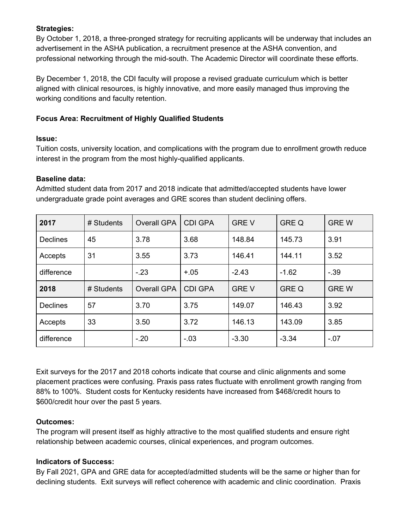### **Strategies:**

By October 1, 2018, a three-pronged strategy for recruiting applicants will be underway that includes an advertisement in the ASHA publication, a recruitment presence at the ASHA convention, and professional networking through the mid-south. The Academic Director will coordinate these efforts.

By December 1, 2018, the CDI faculty will propose a revised graduate curriculum which is better aligned with clinical resources, is highly innovative, and more easily managed thus improving the working conditions and faculty retention.

### **Focus Area: Recruitment of Highly Qualified Students**

#### **Issue:**

Tuition costs, university location, and complications with the program due to enrollment growth reduce interest in the program from the most highly-qualified applicants.

#### **Baseline data:**

Admitted student data from 2017 and 2018 indicate that admitted/accepted students have lower undergraduate grade point averages and GRE scores than student declining offers.

| 2017            | # Students | <b>Overall GPA</b> | <b>CDI GPA</b> | <b>GREV</b> | <b>GRE Q</b> | <b>GREW</b> |
|-----------------|------------|--------------------|----------------|-------------|--------------|-------------|
| <b>Declines</b> | 45         | 3.78               | 3.68           | 148.84      | 145.73       | 3.91        |
| Accepts         | 31         | 3.55               | 3.73           | 146.41      | 144.11       | 3.52        |
| difference      |            | $-.23$             | $+.05$         | $-2.43$     | $-1.62$      | $-39$       |
| 2018            | # Students | <b>Overall GPA</b> | <b>CDI GPA</b> | <b>GREV</b> | <b>GRE Q</b> | <b>GREW</b> |
| <b>Declines</b> | 57         | 3.70               | 3.75           | 149.07      | 146.43       | 3.92        |
| Accepts         | 33         | 3.50               | 3.72           | 146.13      | 143.09       | 3.85        |
| difference      |            | $-.20$             | $-.03$         | $-3.30$     | $-3.34$      | $-07$       |

Exit surveys for the 2017 and 2018 cohorts indicate that course and clinic alignments and some placement practices were confusing. Praxis pass rates fluctuate with enrollment growth ranging from 88% to 100%. Student costs for Kentucky residents have increased from \$468/credit hours to \$600/credit hour over the past 5 years.

#### **Outcomes:**

The program will present itself as highly attractive to the most qualified students and ensure right relationship between academic courses, clinical experiences, and program outcomes.

#### **Indicators of Success:**

By Fall 2021, GPA and GRE data for accepted/admitted students will be the same or higher than for declining students. Exit surveys will reflect coherence with academic and clinic coordination. Praxis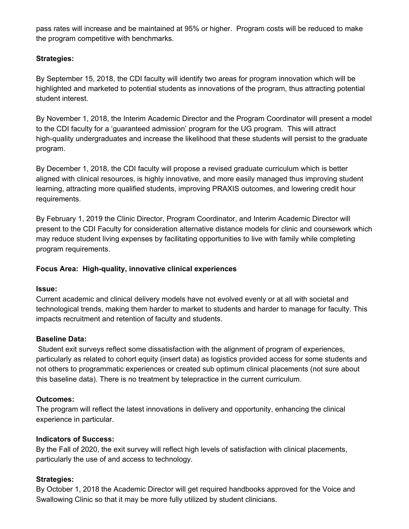pass rates will increase and be maintained at 95% or higher. Program costs will be reduced to make the program competitive with benchmarks.

# **Strategies:**

By September 15, 2018, the CDI faculty will identify two areas for program innovation which will be highlighted and marketed to potential students as innovations of the program, thus attracting potential student interest.

By November 1, 2018, the Interim Academic Director and the Program Coordinator will present a model to the CDI faculty for a 'guaranteed admission' program for the UG program. This will attract high-quality undergraduates and increase the likelihood that these students will persist to the graduate program.

By December 1, 2018, the CDI faculty will propose a revised graduate curriculum which is better aligned with clinical resources, is highly innovative, and more easily managed thus improving student learning, attracting more qualified students, improving PRAXIS outcomes, and lowering credit hour requirements.

By February 1, 2019 the Clinic Director, Program Coordinator, and Interim Academic Director will present to the CDI Faculty for consideration alternative distance models for clinic and coursework which may reduce student living expenses by facilitating opportunities to live with family while completing program requirements.

# **Focus Area: High-quality, innovative clinical experiences**

# **Issue:**

Current academic and clinical delivery models have not evolved evenly or at all with societal and technological trends, making them harder to market to students and harder to manage for faculty. This impacts recruitment and retention of faculty and students.

# **Baseline Data:**

Student exit surveys reflect some dissatisfaction with the alignment of program of experiences, particularly as related to cohort equity (insert data) as logistics provided access for some students and not others to programmatic experiences or created sub optimum clinical placements (not sure about this baseline data). There is no treatment by telepractice in the current curriculum.

# **Outcomes:**

The program will reflect the latest innovations in delivery and opportunity, enhancing the clinical experience in particular.

# **Indicators of Success:**

By the Fall of 2020, the exit survey will reflect high levels of satisfaction with clinical placements, particularly the use of and access to technology.

# **Strategies:**

By October 1, 2018 the Academic Director will get required handbooks approved for the Voice and Swallowing Clinic so that it may be more fully utilized by student clinicians.